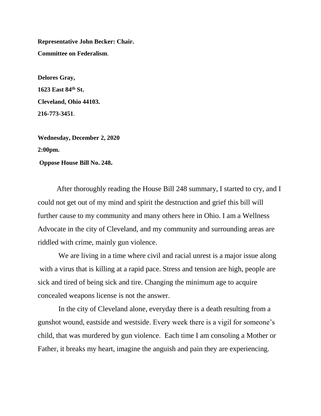**Representative John Becker: Chair. Committee on Federalism**.

**Delores Gray, 1623 East 84th St. Cleveland, Ohio 44103. 216-773-3451**.

**Wednesday, December 2, 2020 2:00pm. Oppose House Bill No. 248.**

After thoroughly reading the House Bill 248 summary, I started to cry, and I could not get out of my mind and spirit the destruction and grief this bill will further cause to my community and many others here in Ohio. I am a Wellness Advocate in the city of Cleveland, and my community and surrounding areas are riddled with crime, mainly gun violence.

We are living in a time where civil and racial unrest is a major issue along with a virus that is killing at a rapid pace. Stress and tension are high, people are sick and tired of being sick and tire. Changing the minimum age to acquire concealed weapons license is not the answer.

In the city of Cleveland alone, everyday there is a death resulting from a gunshot wound, eastside and westside. Every week there is a vigil for someone's child, that was murdered by gun violence. Each time I am consoling a Mother or Father, it breaks my heart, imagine the anguish and pain they are experiencing.